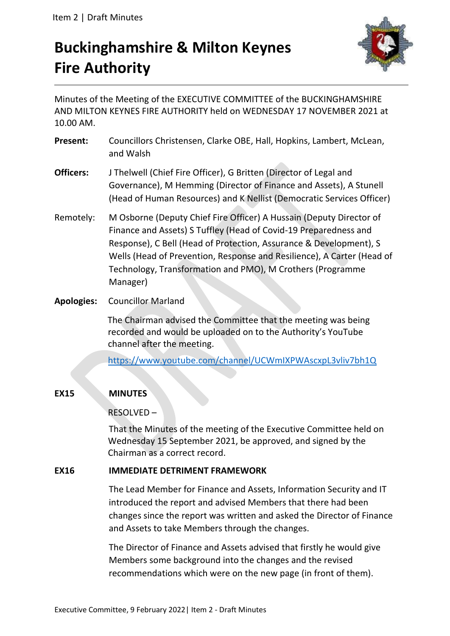# **Buckinghamshire & Milton Keynes Fire Authority**



Minutes of the Meeting of the EXECUTIVE COMMITTEE of the BUCKINGHAMSHIRE AND MILTON KEYNES FIRE AUTHORITY held on WEDNESDAY 17 NOVEMBER 2021 at 10.00 AM.

- **Present:** Councillors Christensen, Clarke OBE, Hall, Hopkins, Lambert, McLean, and Walsh
- **Officers:** J Thelwell (Chief Fire Officer), G Britten (Director of Legal and Governance), M Hemming (Director of Finance and Assets), A Stunell (Head of Human Resources) and K Nellist (Democratic Services Officer)
- Remotely: M Osborne (Deputy Chief Fire Officer) A Hussain (Deputy Director of Finance and Assets) S Tuffley (Head of Covid-19 Preparedness and Response), C Bell (Head of Protection, Assurance & Development), S Wells (Head of Prevention, Response and Resilience), A Carter (Head of Technology, Transformation and PMO), M Crothers (Programme Manager)
- **Apologies:** Councillor Marland

The Chairman advised the Committee that the meeting was being recorded and would be uploaded on to the Authority's YouTube channel after the meeting.

<https://www.youtube.com/channel/UCWmIXPWAscxpL3vliv7bh1Q>

## **EX15 MINUTES**

RESOLVED –

That the Minutes of the meeting of the Executive Committee held on Wednesday 15 September 2021, be approved, and signed by the Chairman as a correct record.

## **EX16 IMMEDIATE DETRIMENT FRAMEWORK**

The Lead Member for Finance and Assets, Information Security and IT introduced the report and advised Members that there had been changes since the report was written and asked the Director of Finance and Assets to take Members through the changes.

The Director of Finance and Assets advised that firstly he would give Members some background into the changes and the revised recommendations which were on the new page (in front of them).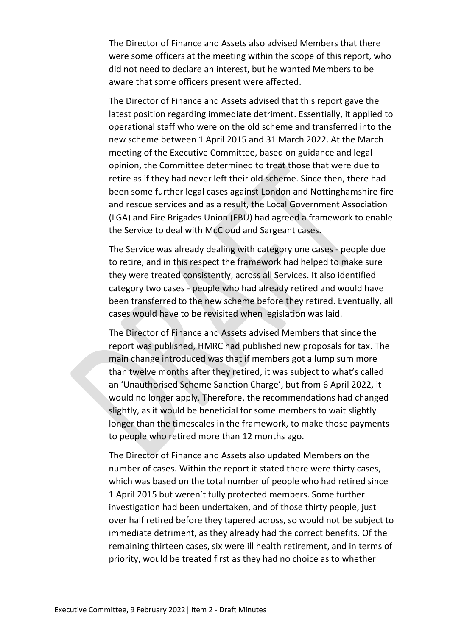The Director of Finance and Assets also advised Members that there were some officers at the meeting within the scope of this report, who did not need to declare an interest, but he wanted Members to be aware that some officers present were affected.

The Director of Finance and Assets advised that this report gave the latest position regarding immediate detriment. Essentially, it applied to operational staff who were on the old scheme and transferred into the new scheme between 1 April 2015 and 31 March 2022. At the March meeting of the Executive Committee, based on guidance and legal opinion, the Committee determined to treat those that were due to retire as if they had never left their old scheme. Since then, there had been some further legal cases against London and Nottinghamshire fire and rescue services and as a result, the Local Government Association (LGA) and Fire Brigades Union (FBU) had agreed a framework to enable the Service to deal with McCloud and Sargeant cases.

The Service was already dealing with category one cases - people due to retire, and in this respect the framework had helped to make sure they were treated consistently, across all Services. It also identified category two cases - people who had already retired and would have been transferred to the new scheme before they retired. Eventually, all cases would have to be revisited when legislation was laid.

The Director of Finance and Assets advised Members that since the report was published, HMRC had published new proposals for tax. The main change introduced was that if members got a lump sum more than twelve months after they retired, it was subject to what's called an 'Unauthorised Scheme Sanction Charge', but from 6 April 2022, it would no longer apply. Therefore, the recommendations had changed slightly, as it would be beneficial for some members to wait slightly longer than the timescales in the framework, to make those payments to people who retired more than 12 months ago.

The Director of Finance and Assets also updated Members on the number of cases. Within the report it stated there were thirty cases, which was based on the total number of people who had retired since 1 April 2015 but weren't fully protected members. Some further investigation had been undertaken, and of those thirty people, just over half retired before they tapered across, so would not be subject to immediate detriment, as they already had the correct benefits. Of the remaining thirteen cases, six were ill health retirement, and in terms of priority, would be treated first as they had no choice as to whether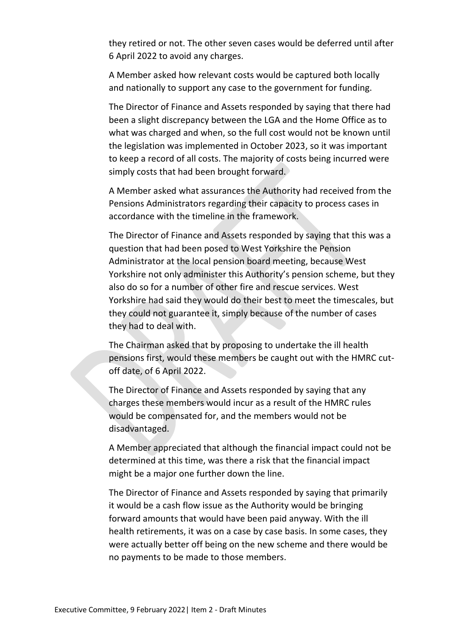they retired or not. The other seven cases would be deferred until after 6 April 2022 to avoid any charges.

A Member asked how relevant costs would be captured both locally and nationally to support any case to the government for funding.

The Director of Finance and Assets responded by saying that there had been a slight discrepancy between the LGA and the Home Office as to what was charged and when, so the full cost would not be known until the legislation was implemented in October 2023, so it was important to keep a record of all costs. The majority of costs being incurred were simply costs that had been brought forward.

A Member asked what assurances the Authority had received from the Pensions Administrators regarding their capacity to process cases in accordance with the timeline in the framework.

The Director of Finance and Assets responded by saying that this was a question that had been posed to West Yorkshire the Pension Administrator at the local pension board meeting, because West Yorkshire not only administer this Authority's pension scheme, but they also do so for a number of other fire and rescue services. West Yorkshire had said they would do their best to meet the timescales, but they could not guarantee it, simply because of the number of cases they had to deal with.

The Chairman asked that by proposing to undertake the ill health pensions first, would these members be caught out with the HMRC cutoff date, of 6 April 2022.

The Director of Finance and Assets responded by saying that any charges these members would incur as a result of the HMRC rules would be compensated for, and the members would not be disadvantaged.

A Member appreciated that although the financial impact could not be determined at this time, was there a risk that the financial impact might be a major one further down the line.

The Director of Finance and Assets responded by saying that primarily it would be a cash flow issue as the Authority would be bringing forward amounts that would have been paid anyway. With the ill health retirements, it was on a case by case basis. In some cases, they were actually better off being on the new scheme and there would be no payments to be made to those members.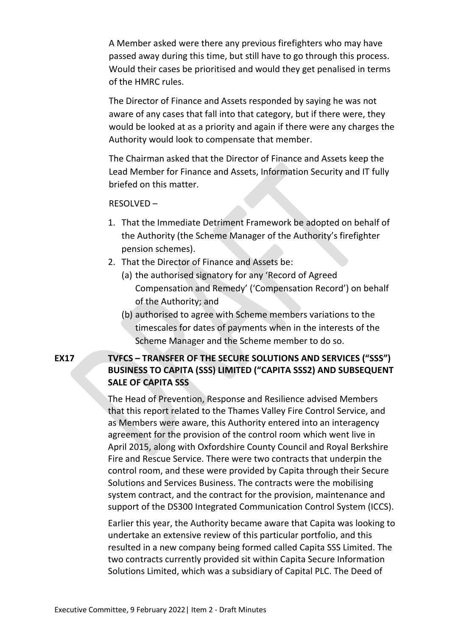A Member asked were there any previous firefighters who may have passed away during this time, but still have to go through this process. Would their cases be prioritised and would they get penalised in terms of the HMRC rules.

The Director of Finance and Assets responded by saying he was not aware of any cases that fall into that category, but if there were, they would be looked at as a priority and again if there were any charges the Authority would look to compensate that member.

The Chairman asked that the Director of Finance and Assets keep the Lead Member for Finance and Assets, Information Security and IT fully briefed on this matter.

#### RESOLVED –

- 1. That the Immediate Detriment Framework be adopted on behalf of the Authority (the Scheme Manager of the Authority's firefighter pension schemes).
- 2. That the Director of Finance and Assets be:
	- (a) the authorised signatory for any 'Record of Agreed Compensation and Remedy' ('Compensation Record') on behalf of the Authority; and
	- (b) authorised to agree with Scheme members variations to the timescales for dates of payments when in the interests of the Scheme Manager and the Scheme member to do so.

## **EX17 TVFCS – TRANSFER OF THE SECURE SOLUTIONS AND SERVICES ("SSS") BUSINESS TO CAPITA (SSS) LIMITED ("CAPITA SSS2) AND SUBSEQUENT SALE OF CAPITA SSS**

The Head of Prevention, Response and Resilience advised Members that this report related to the Thames Valley Fire Control Service, and as Members were aware, this Authority entered into an interagency agreement for the provision of the control room which went live in April 2015, along with Oxfordshire County Council and Royal Berkshire Fire and Rescue Service. There were two contracts that underpin the control room, and these were provided by Capita through their Secure Solutions and Services Business. The contracts were the mobilising system contract, and the contract for the provision, maintenance and support of the DS300 Integrated Communication Control System (ICCS).

Earlier this year, the Authority became aware that Capita was looking to undertake an extensive review of this particular portfolio, and this resulted in a new company being formed called Capita SSS Limited. The two contracts currently provided sit within Capita Secure Information Solutions Limited, which was a subsidiary of Capital PLC. The Deed of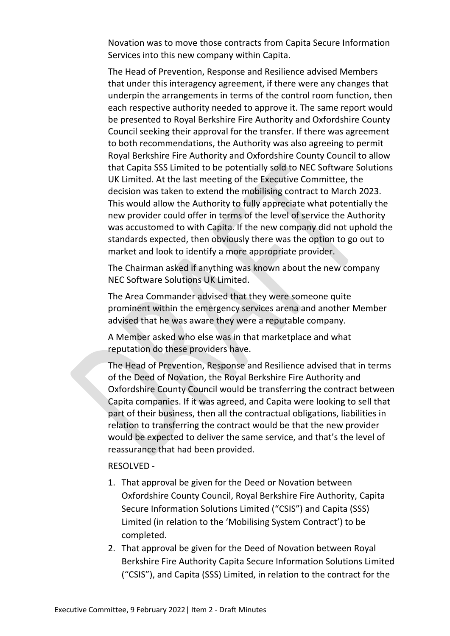Novation was to move those contracts from Capita Secure Information Services into this new company within Capita.

The Head of Prevention, Response and Resilience advised Members that under this interagency agreement, if there were any changes that underpin the arrangements in terms of the control room function, then each respective authority needed to approve it. The same report would be presented to Royal Berkshire Fire Authority and Oxfordshire County Council seeking their approval for the transfer. If there was agreement to both recommendations, the Authority was also agreeing to permit Royal Berkshire Fire Authority and Oxfordshire County Council to allow that Capita SSS Limited to be potentially sold to NEC Software Solutions UK Limited. At the last meeting of the Executive Committee, the decision was taken to extend the mobilising contract to March 2023. This would allow the Authority to fully appreciate what potentially the new provider could offer in terms of the level of service the Authority was accustomed to with Capita. If the new company did not uphold the standards expected, then obviously there was the option to go out to market and look to identify a more appropriate provider.

The Chairman asked if anything was known about the new company NEC Software Solutions UK Limited.

The Area Commander advised that they were someone quite prominent within the emergency services arena and another Member advised that he was aware they were a reputable company.

A Member asked who else was in that marketplace and what reputation do these providers have.

The Head of Prevention, Response and Resilience advised that in terms of the Deed of Novation, the Royal Berkshire Fire Authority and Oxfordshire County Council would be transferring the contract between Capita companies. If it was agreed, and Capita were looking to sell that part of their business, then all the contractual obligations, liabilities in relation to transferring the contract would be that the new provider would be expected to deliver the same service, and that's the level of reassurance that had been provided.

#### RESOLVED -

- 1. That approval be given for the Deed or Novation between Oxfordshire County Council, Royal Berkshire Fire Authority, Capita Secure Information Solutions Limited ("CSIS") and Capita (SSS) Limited (in relation to the 'Mobilising System Contract') to be completed.
- 2. That approval be given for the Deed of Novation between Royal Berkshire Fire Authority Capita Secure Information Solutions Limited ("CSIS"), and Capita (SSS) Limited, in relation to the contract for the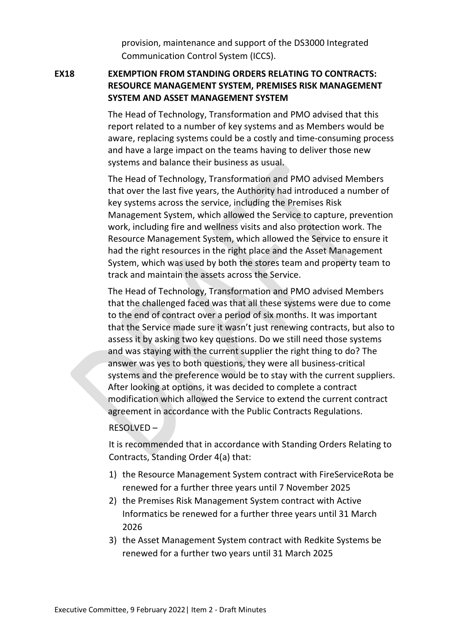provision, maintenance and support of the DS3000 Integrated Communication Control System (ICCS).

## **EX18 EXEMPTION FROM STANDING ORDERS RELATING TO CONTRACTS: RESOURCE MANAGEMENT SYSTEM, PREMISES RISK MANAGEMENT SYSTEM AND ASSET MANAGEMENT SYSTEM**

The Head of Technology, Transformation and PMO advised that this report related to a number of key systems and as Members would be aware, replacing systems could be a costly and time-consuming process and have a large impact on the teams having to deliver those new systems and balance their business as usual.

The Head of Technology, Transformation and PMO advised Members that over the last five years, the Authority had introduced a number of key systems across the service, including the Premises Risk Management System, which allowed the Service to capture, prevention work, including fire and wellness visits and also protection work. The Resource Management System, which allowed the Service to ensure it had the right resources in the right place and the Asset Management System, which was used by both the stores team and property team to track and maintain the assets across the Service.

The Head of Technology, Transformation and PMO advised Members that the challenged faced was that all these systems were due to come to the end of contract over a period of six months. It was important that the Service made sure it wasn't just renewing contracts, but also to assess it by asking two key questions. Do we still need those systems and was staying with the current supplier the right thing to do? The answer was yes to both questions, they were all business-critical systems and the preference would be to stay with the current suppliers. After looking at options, it was decided to complete a contract modification which allowed the Service to extend the current contract agreement in accordance with the Public Contracts Regulations.

#### RESOLVED –

It is recommended that in accordance with Standing Orders Relating to Contracts, Standing Order 4(a) that:

- 1) the Resource Management System contract with FireServiceRota be renewed for a further three years until 7 November 2025
- 2) the Premises Risk Management System contract with Active Informatics be renewed for a further three years until 31 March 2026
- 3) the Asset Management System contract with Redkite Systems be renewed for a further two years until 31 March 2025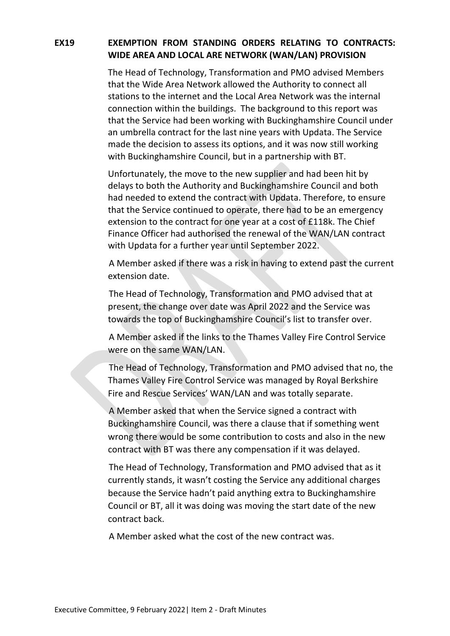## **EX19 EXEMPTION FROM STANDING ORDERS RELATING TO CONTRACTS: WIDE AREA AND LOCAL ARE NETWORK (WAN/LAN) PROVISION**

The Head of Technology, Transformation and PMO advised Members that the Wide Area Network allowed the Authority to connect all stations to the internet and the Local Area Network was the internal connection within the buildings. The background to this report was that the Service had been working with Buckinghamshire Council under an umbrella contract for the last nine years with Updata. The Service made the decision to assess its options, and it was now still working with Buckinghamshire Council, but in a partnership with BT.

Unfortunately, the move to the new supplier and had been hit by delays to both the Authority and Buckinghamshire Council and both had needed to extend the contract with Updata. Therefore, to ensure that the Service continued to operate, there had to be an emergency extension to the contract for one year at a cost of £118k. The Chief Finance Officer had authorised the renewal of the WAN/LAN contract with Updata for a further year until September 2022.

A Member asked if there was a risk in having to extend past the current extension date.

The Head of Technology, Transformation and PMO advised that at present, the change over date was April 2022 and the Service was towards the top of Buckinghamshire Council's list to transfer over.

A Member asked if the links to the Thames Valley Fire Control Service were on the same WAN/LAN.

The Head of Technology, Transformation and PMO advised that no, the Thames Valley Fire Control Service was managed by Royal Berkshire Fire and Rescue Services' WAN/LAN and was totally separate.

A Member asked that when the Service signed a contract with Buckinghamshire Council, was there a clause that if something went wrong there would be some contribution to costs and also in the new contract with BT was there any compensation if it was delayed.

The Head of Technology, Transformation and PMO advised that as it currently stands, it wasn't costing the Service any additional charges because the Service hadn't paid anything extra to Buckinghamshire Council or BT, all it was doing was moving the start date of the new contract back.

A Member asked what the cost of the new contract was.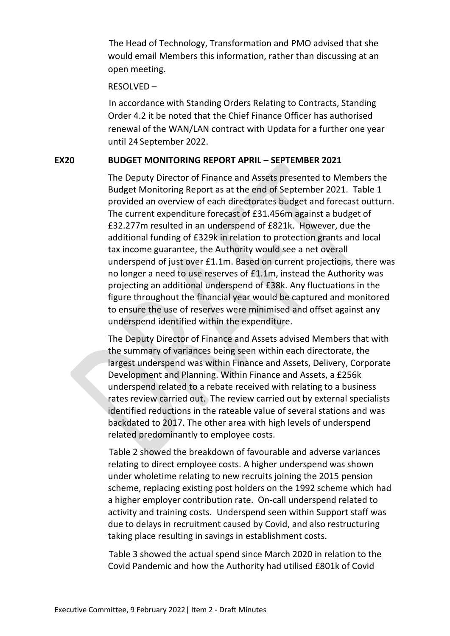The Head of Technology, Transformation and PMO advised that she would email Members this information, rather than discussing at an open meeting.

#### RESOLVED –

In accordance with Standing Orders Relating to Contracts, Standing Order 4.2 it be noted that the Chief Finance Officer has authorised renewal of the WAN/LAN contract with Updata for a further one year until 24 September 2022.

#### **EX20 BUDGET MONITORING REPORT APRIL – SEPTEMBER 2021**

The Deputy Director of Finance and Assets presented to Members the Budget Monitoring Report as at the end of September 2021. Table 1 provided an overview of each directorates budget and forecast outturn. The current expenditure forecast of £31.456m against a budget of £32.277m resulted in an underspend of £821k. However, due the additional funding of £329k in relation to protection grants and local tax income guarantee, the Authority would see a net overall underspend of just over £1.1m. Based on current projections, there was no longer a need to use reserves of £1.1m, instead the Authority was projecting an additional underspend of £38k. Any fluctuations in the figure throughout the financial year would be captured and monitored to ensure the use of reserves were minimised and offset against any underspend identified within the expenditure.

The Deputy Director of Finance and Assets advised Members that with the summary of variances being seen within each directorate, the largest underspend was within Finance and Assets, Delivery, Corporate Development and Planning. Within Finance and Assets, a £256k underspend related to a rebate received with relating to a business rates review carried out. The review carried out by external specialists identified reductions in the rateable value of several stations and was backdated to 2017. The other area with high levels of underspend related predominantly to employee costs.

Table 2 showed the breakdown of favourable and adverse variances relating to direct employee costs. A higher underspend was shown under wholetime relating to new recruits joining the 2015 pension scheme, replacing existing post holders on the 1992 scheme which had a higher employer contribution rate. On-call underspend related to activity and training costs. Underspend seen within Support staff was due to delays in recruitment caused by Covid, and also restructuring taking place resulting in savings in establishment costs.

Table 3 showed the actual spend since March 2020 in relation to the Covid Pandemic and how the Authority had utilised £801k of Covid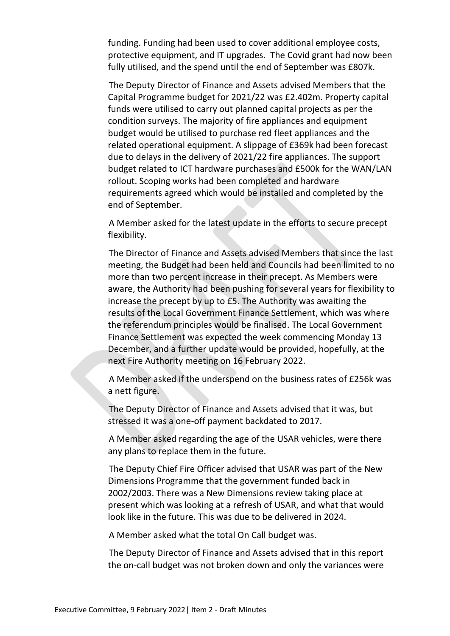funding. Funding had been used to cover additional employee costs, protective equipment, and IT upgrades. The Covid grant had now been fully utilised, and the spend until the end of September was £807k.

The Deputy Director of Finance and Assets advised Members that the Capital Programme budget for 2021/22 was £2.402m. Property capital funds were utilised to carry out planned capital projects as per the condition surveys. The majority of fire appliances and equipment budget would be utilised to purchase red fleet appliances and the related operational equipment. A slippage of £369k had been forecast due to delays in the delivery of 2021/22 fire appliances. The support budget related to ICT hardware purchases and £500k for the WAN/LAN rollout. Scoping works had been completed and hardware requirements agreed which would be installed and completed by the end of September.

A Member asked for the latest update in the efforts to secure precept flexibility.

The Director of Finance and Assets advised Members that since the last meeting, the Budget had been held and Councils had been limited to no more than two percent increase in their precept. As Members were aware, the Authority had been pushing for several years for flexibility to increase the precept by up to £5. The Authority was awaiting the results of the Local Government Finance Settlement, which was where the referendum principles would be finalised. The Local Government Finance Settlement was expected the week commencing Monday 13 December, and a further update would be provided, hopefully, at the next Fire Authority meeting on 16 February 2022.

A Member asked if the underspend on the business rates of £256k was a nett figure.

The Deputy Director of Finance and Assets advised that it was, but stressed it was a one-off payment backdated to 2017.

A Member asked regarding the age of the USAR vehicles, were there any plans to replace them in the future.

The Deputy Chief Fire Officer advised that USAR was part of the New Dimensions Programme that the government funded back in 2002/2003. There was a New Dimensions review taking place at present which was looking at a refresh of USAR, and what that would look like in the future. This was due to be delivered in 2024.

A Member asked what the total On Call budget was.

The Deputy Director of Finance and Assets advised that in this report the on-call budget was not broken down and only the variances were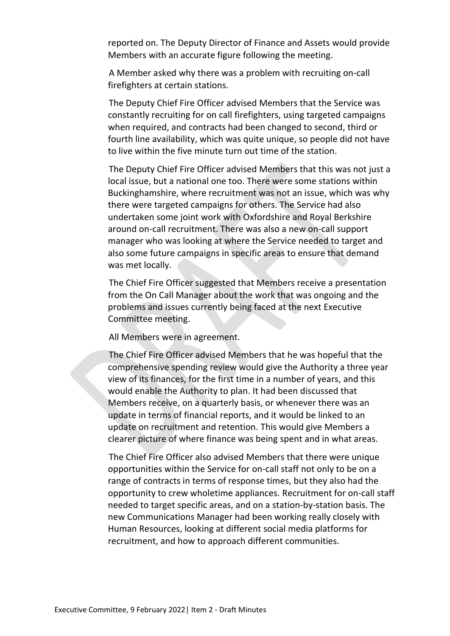reported on. The Deputy Director of Finance and Assets would provide Members with an accurate figure following the meeting.

A Member asked why there was a problem with recruiting on-call firefighters at certain stations.

The Deputy Chief Fire Officer advised Members that the Service was constantly recruiting for on call firefighters, using targeted campaigns when required, and contracts had been changed to second, third or fourth line availability, which was quite unique, so people did not have to live within the five minute turn out time of the station.

The Deputy Chief Fire Officer advised Members that this was not just a local issue, but a national one too. There were some stations within Buckinghamshire, where recruitment was not an issue, which was why there were targeted campaigns for others. The Service had also undertaken some joint work with Oxfordshire and Royal Berkshire around on-call recruitment. There was also a new on-call support manager who was looking at where the Service needed to target and also some future campaigns in specific areas to ensure that demand was met locally.

The Chief Fire Officer suggested that Members receive a presentation from the On Call Manager about the work that was ongoing and the problems and issues currently being faced at the next Executive Committee meeting.

All Members were in agreement.

The Chief Fire Officer advised Members that he was hopeful that the comprehensive spending review would give the Authority a three year view of its finances, for the first time in a number of years, and this would enable the Authority to plan. It had been discussed that Members receive, on a quarterly basis, or whenever there was an update in terms of financial reports, and it would be linked to an update on recruitment and retention. This would give Members a clearer picture of where finance was being spent and in what areas.

The Chief Fire Officer also advised Members that there were unique opportunities within the Service for on-call staff not only to be on a range of contracts in terms of response times, but they also had the opportunity to crew wholetime appliances. Recruitment for on-call staff needed to target specific areas, and on a station-by-station basis. The new Communications Manager had been working really closely with Human Resources, looking at different social media platforms for recruitment, and how to approach different communities.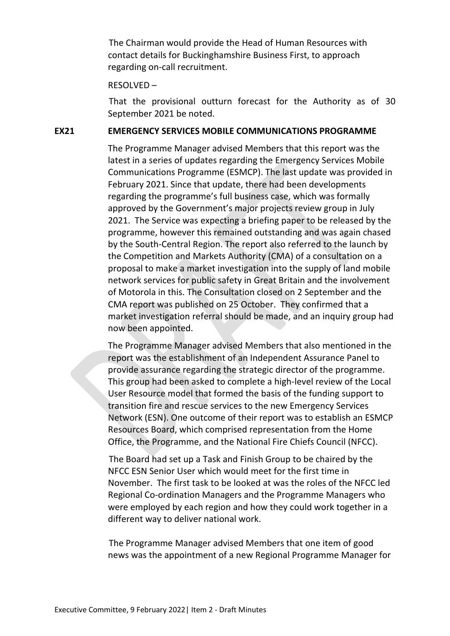The Chairman would provide the Head of Human Resources with contact details for Buckinghamshire Business First, to approach regarding on-call recruitment.

#### RESOLVED –

That the provisional outturn forecast for the Authority as of 30 September 2021 be noted.

#### **EX21 EMERGENCY SERVICES MOBILE COMMUNICATIONS PROGRAMME**

The Programme Manager advised Members that this report was the latest in a series of updates regarding the Emergency Services Mobile Communications Programme (ESMCP). The last update was provided in February 2021. Since that update, there had been developments regarding the programme's full business case, which was formally approved by the Government's major projects review group in July 2021. The Service was expecting a briefing paper to be released by the programme, however this remained outstanding and was again chased by the South-Central Region. The report also referred to the launch by the Competition and Markets Authority (CMA) of a consultation on a proposal to make a market investigation into the supply of land mobile network services for public safety in Great Britain and the involvement of Motorola in this. The Consultation closed on 2 September and the CMA report was published on 25 October. They confirmed that a market investigation referral should be made, and an inquiry group had now been appointed.

The Programme Manager advised Members that also mentioned in the report was the establishment of an Independent Assurance Panel to provide assurance regarding the strategic director of the programme. This group had been asked to complete a high-level review of the Local User Resource model that formed the basis of the funding support to transition fire and rescue services to the new Emergency Services Network (ESN). One outcome of their report was to establish an ESMCP Resources Board, which comprised representation from the Home Office, the Programme, and the National Fire Chiefs Council (NFCC).

The Board had set up a Task and Finish Group to be chaired by the NFCC ESN Senior User which would meet for the first time in November. The first task to be looked at was the roles of the NFCC led Regional Co-ordination Managers and the Programme Managers who were employed by each region and how they could work together in a different way to deliver national work.

The Programme Manager advised Members that one item of good news was the appointment of a new Regional Programme Manager for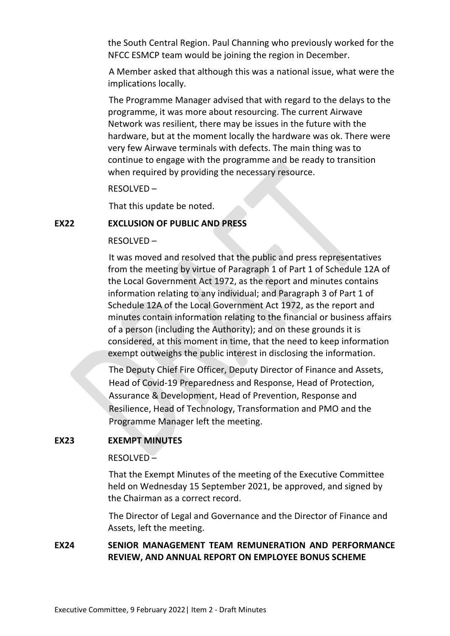the South Central Region. Paul Channing who previously worked for the NFCC ESMCP team would be joining the region in December.

A Member asked that although this was a national issue, what were the implications locally.

The Programme Manager advised that with regard to the delays to the programme, it was more about resourcing. The current Airwave Network was resilient, there may be issues in the future with the hardware, but at the moment locally the hardware was ok. There were very few Airwave terminals with defects. The main thing was to continue to engage with the programme and be ready to transition when required by providing the necessary resource.

RESOLVED –

That this update be noted.

## **EX22 EXCLUSION OF PUBLIC AND PRESS**

#### RESOLVED –

It was moved and resolved that the public and press representatives from the meeting by virtue of Paragraph 1 of Part 1 of Schedule 12A of the Local Government Act 1972, as the report and minutes contains information relating to any individual; and Paragraph 3 of Part 1 of Schedule 12A of the Local Government Act 1972, as the report and minutes contain information relating to the financial or business affairs of a person (including the Authority); and on these grounds it is considered, at this moment in time, that the need to keep information exempt outweighs the public interest in disclosing the information.

The Deputy Chief Fire Officer, Deputy Director of Finance and Assets, Head of Covid-19 Preparedness and Response, Head of Protection, Assurance & Development, Head of Prevention, Response and Resilience, Head of Technology, Transformation and PMO and the Programme Manager left the meeting.

## **EX23 EXEMPT MINUTES**

#### RESOLVED –

That the Exempt Minutes of the meeting of the Executive Committee held on Wednesday 15 September 2021, be approved, and signed by the Chairman as a correct record.

The Director of Legal and Governance and the Director of Finance and Assets, left the meeting.

## **EX24 SENIOR MANAGEMENT TEAM REMUNERATION AND PERFORMANCE REVIEW, AND ANNUAL REPORT ON EMPLOYEE BONUS SCHEME**